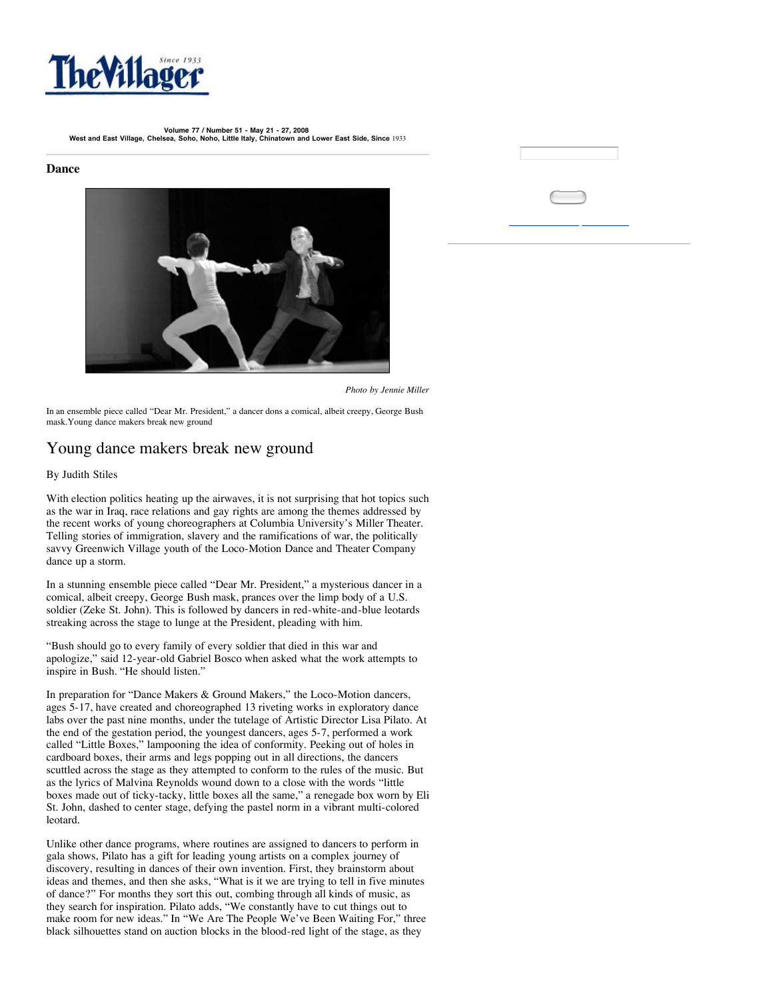

**Volume 77 / Number 51 - May 21 - 27, 2008 West and East Village, Chelsea, Soho, Noho, Little Italy, Chinatown and Lower East Side, Since** 1933

## **Dance**



*Photo by Jennie Miller*

In an ensemble piece called "Dear Mr. President," a dancer dons a comical, albeit creepy, George Bush mask.Young dance makers break new ground

## Young dance makers break new ground

## By Judith Stiles

With election politics heating up the airwaves, it is not surprising that hot topics such as the war in Iraq, race relations and gay rights are among the themes addressed by the recent works of young choreographers at Columbia University's Miller Theater. Telling stories of immigration, slavery and the ramifications of war, the politically savvy Greenwich Village youth of the Loco-Motion Dance and Theater Company dance up a storm.

In a stunning ensemble piece called "Dear Mr. President," a mysterious dancer in a comical, albeit creepy, George Bush mask, prances over the limp body of a U.S. soldier (Zeke St. John). This is followed by dancers in red-white-and-blue leotards streaking across the stage to lunge at the President, pleading with him.

"Bush should go to every family of every soldier that died in this war and apologize," said 12-year-old Gabriel Bosco when asked what the work attempts to inspire in Bush. "He should listen."

In preparation for "Dance Makers & Ground Makers," the Loco-Motion dancers, ages 5-17, have created and choreographed 13 riveting works in exploratory dance labs over the past nine months, under the tutelage of Artistic Director Lisa Pilato. At the end of the gestation period, the youngest dancers, ages 5-7, performed a work called "Little Boxes," lampooning the idea of conformity. Peeking out of holes in cardboard boxes, their arms and legs popping out in all directions, the dancers scuttled across the stage as they attempted to conform to the rules of the music. But as the lyrics of Malvina Reynolds wound down to a close with the words "little boxes made out of ticky-tacky, little boxes all the same," a renegade box worn by Eli St. John, dashed to center stage, defying the pastel norm in a vibrant multi-colored leotard.

Unlike other dance programs, where routines are assigned to dancers to perform in gala shows, Pilato has a gift for leading young artists on a complex journey of discovery, resulting in dances of their own invention. First, they brainstorm about ideas and themes, and then she asks, "What is it we are trying to tell in five minutes of dance?" For months they sort this out, combing through all kinds of music, as they search for inspiration. Pilato adds, "We constantly have to cut things out to make room for new ideas." In "We Are The People We've Been Waiting For," three black silhouettes stand on auction blocks in the blood-red light of the stage, as they